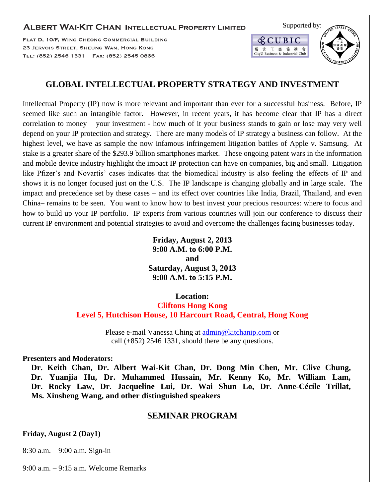## **ALBERT WAI-KIT CHAN INTELLECTUAL PROPERTY LIMITED**

FLAT D, 10/F, WING CHEONG COMMERCIAL BUILDING 23 JERVOIS STREET, SHEUNG WAN, HONG KONG TEL: (852) 2546 1331 FAX: (852) 2545 0866



# **GLOBAL INTELLECTUAL PROPERTY STRATEGY AND INVESTMENT**

Intellectual Property (IP) now is more relevant and important than ever for a successful business. Before, IP seemed like such an intangible factor. However, in recent years, it has become clear that IP has a direct correlation to money – your investment - how much of it your business stands to gain or lose may very well depend on your IP protection and strategy. There are many models of IP strategy a business can follow. At the highest level, we have as sample the now infamous infringement litigation battles of Apple v. Samsung. At stake is a greater share of the \$293.9 billion smartphones market. These ongoing patent wars in the information and mobile device industry highlight the impact IP protection can have on companies, big and small. Litigation like Pfizer's and Novartis' cases indicates that the biomedical industry is also feeling the effects of IP and shows it is no longer focused just on the U.S. The IP landscape is changing globally and in large scale. The impact and precedence set by these cases – and its effect over countries like India, Brazil, Thailand, and even China– remains to be seen. You want to know how to best invest your precious resources: where to focus and how to build up your IP portfolio. IP experts from various countries will join our conference to discuss their current IP environment and potential strategies to avoid and overcome the challenges facing businesses today.

> **Friday, August 2, 2013 9:00 A.M. to 6:00 P.M. and Saturday, August 3, 2013 9:00 A.M. to 5:15 P.M.**

## **Location:**

**Cliftons Hong Kong Level 5, Hutchison House, 10 Harcourt Road, Central, Hong Kong**

> Please e-mail Vanessa Ching at [admin@kitchanip.com](mailto:admin@kitchanip.com) or call (+852) 2546 1331, should there be any questions.

**Presenters and Moderators:**

**Dr. Keith Chan, Dr. Albert Wai-Kit Chan, Dr. Dong Min Chen, Mr. Clive Chung, Dr. Yuanjia Hu, Dr. Muhammed Hussain, Mr. Kenny Ko, Mr. William Lam, Dr. Rocky Law, Dr. Jacqueline Lui, Dr. Wai Shun Lo, Dr. Anne-Cécile Trillat, Ms. Xinsheng Wang, and other distinguished speakers**

## **SEMINAR PROGRAM**

## **Friday, August 2 (Day1)**

8:30 a.m. – 9:00 a.m. Sign-in

9:00 a.m. – 9:15 a.m. Welcome Remarks